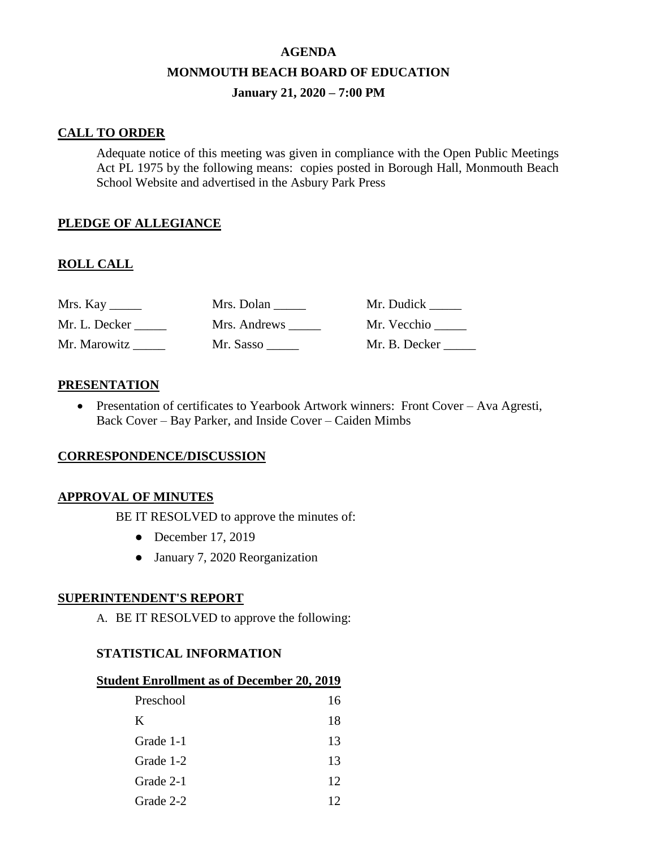### **AGENDA**

#### **MONMOUTH BEACH BOARD OF EDUCATION**

### **January 21, 2020 – 7:00 PM**

### **CALL TO ORDER**

Adequate notice of this meeting was given in compliance with the Open Public Meetings Act PL 1975 by the following means: copies posted in Borough Hall, Monmouth Beach School Website and advertised in the Asbury Park Press

## **PLEDGE OF ALLEGIANCE**

## **ROLL CALL**

| Mrs. Kay      | Mrs. Dolan   | Mr. Dudick    |
|---------------|--------------|---------------|
| Mr. L. Decker | Mrs. Andrews | Mr. Vecchio   |
| Mr. Marowitz  | Mr. Sasso    | Mr. B. Decker |

### **PRESENTATION**

 Presentation of certificates to Yearbook Artwork winners: Front Cover – Ava Agresti, Back Cover – Bay Parker, and Inside Cover – Caiden Mimbs

#### **CORRESPONDENCE/DISCUSSION**

#### **APPROVAL OF MINUTES**

BE IT RESOLVED to approve the minutes of:

- December 17, 2019
- January 7, 2020 Reorganization

#### **SUPERINTENDENT'S REPORT**

A. BE IT RESOLVED to approve the following:

### **STATISTICAL INFORMATION**

#### **Student Enrollment as of December 20, 2019**

| Preschool | 16 |
|-----------|----|
| K         | 18 |
| Grade 1-1 | 13 |
| Grade 1-2 | 13 |
| Grade 2-1 | 12 |
| Grade 2-2 |    |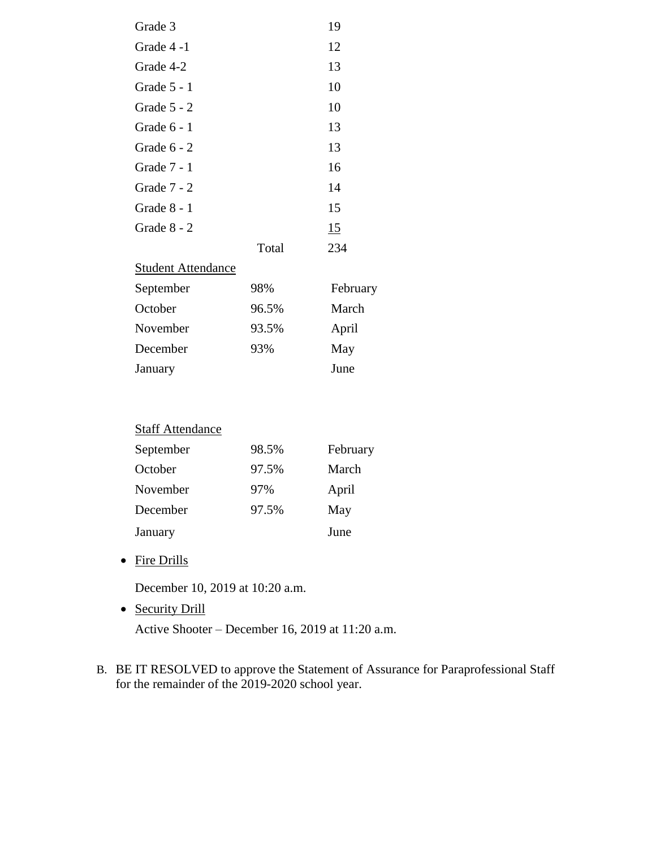| Grade 3                   |       | 19  |
|---------------------------|-------|-----|
| Grade 4 -1                |       | 12  |
| Grade 4-2                 |       | 13  |
| Grade 5 - 1               |       | 10  |
| Grade 5 - 2               |       | 10  |
| Grade 6 - 1               |       | 13  |
| Grade 6 - 2               |       | 13  |
| Grade 7 - 1               |       | 16  |
| Grade 7 - 2               |       | 14  |
| Grade 8 - 1               |       | 15  |
| Grade 8 - 2               |       | 15  |
|                           | Total | 234 |
| <b>Student Attendance</b> |       |     |

| September | 98%   | February |
|-----------|-------|----------|
| October   | 96.5% | March    |
| November  | 93.5% | April    |
| December  | 93%   | May      |
| January   |       | June     |

| <b>Staff Attendance</b> |       |          |  |
|-------------------------|-------|----------|--|
| September               | 98.5% | February |  |
| October                 | 97.5% | March    |  |
| November                | 97%   | April    |  |
| December                | 97.5% | May      |  |
| January                 |       | June     |  |

• Fire Drills

December 10, 2019 at 10:20 a.m.

• Security Drill

Active Shooter – December 16, 2019 at 11:20 a.m.

B. BE IT RESOLVED to approve the Statement of Assurance for Paraprofessional Staff for the remainder of the 2019-2020 school year.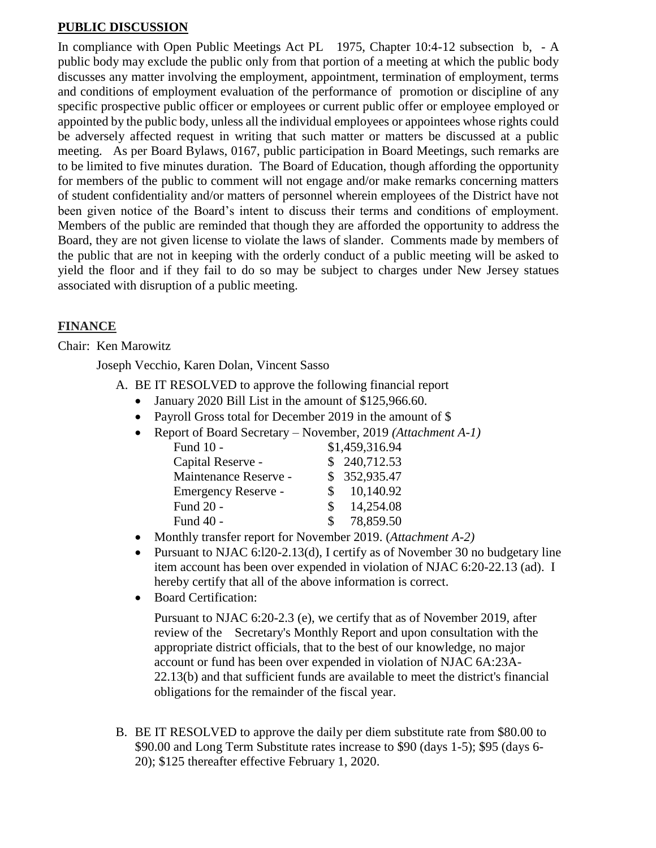## **PUBLIC DISCUSSION**

In compliance with Open Public Meetings Act PL 1975, Chapter 10:4-12 subsection b, - A public body may exclude the public only from that portion of a meeting at which the public body discusses any matter involving the employment, appointment, termination of employment, terms and conditions of employment evaluation of the performance of promotion or discipline of any specific prospective public officer or employees or current public offer or employee employed or appointed by the public body, unless all the individual employees or appointees whose rights could be adversely affected request in writing that such matter or matters be discussed at a public meeting. As per Board Bylaws, 0167, public participation in Board Meetings, such remarks are to be limited to five minutes duration. The Board of Education, though affording the opportunity for members of the public to comment will not engage and/or make remarks concerning matters of student confidentiality and/or matters of personnel wherein employees of the District have not been given notice of the Board's intent to discuss their terms and conditions of employment. Members of the public are reminded that though they are afforded the opportunity to address the Board, they are not given license to violate the laws of slander. Comments made by members of the public that are not in keeping with the orderly conduct of a public meeting will be asked to yield the floor and if they fail to do so may be subject to charges under New Jersey statues associated with disruption of a public meeting.

# **FINANCE**

# Chair: Ken Marowitz

Joseph Vecchio, Karen Dolan, Vincent Sasso

- A. BE IT RESOLVED to approve the following financial report
	- January 2020 Bill List in the amount of \$125,966.60.
	- Payroll Gross total for December 2019 in the amount of \$
	- Report of Board Secretary November, 2019 *(Attachment A-1)*

| Fund 10 -             | \$1,459,316.94            |
|-----------------------|---------------------------|
| Capital Reserve -     | \$240,712.53              |
| Maintenance Reserve - | \$352,935.47              |
| Emergency Reserve -   | 10,140.92<br>S.           |
| Fund 20 -             | 14,254.08<br>S.           |
| Fund 40 -             | 78,859.50<br>$\mathbf{S}$ |

- Monthly transfer report for November 2019. *(Attachment A-2)*
- Pursuant to NJAC 6:120-2.13(d), I certify as of November 30 no budgetary line item account has been over expended in violation of NJAC 6:20-22.13 (ad). I hereby certify that all of the above information is correct.
- Board Certification:

Pursuant to NJAC 6:20-2.3 (e), we certify that as of November 2019, after review of the Secretary's Monthly Report and upon consultation with the appropriate district officials, that to the best of our knowledge, no major account or fund has been over expended in violation of NJAC 6A:23A-22.13(b) and that sufficient funds are available to meet the district's financial obligations for the remainder of the fiscal year.

B. BE IT RESOLVED to approve the daily per diem substitute rate from \$80.00 to \$90.00 and Long Term Substitute rates increase to \$90 (days 1-5); \$95 (days 6- 20); \$125 thereafter effective February 1, 2020.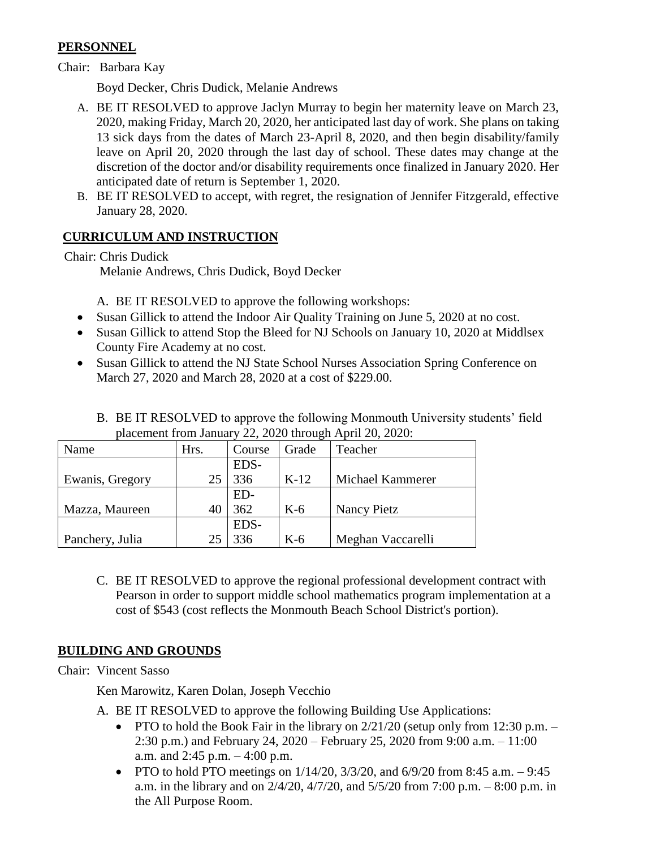# **PERSONNEL**

Chair: Barbara Kay

Boyd Decker, Chris Dudick, Melanie Andrews

- A. BE IT RESOLVED to approve Jaclyn Murray to begin her maternity leave on March 23, 2020, making Friday, March 20, 2020, her anticipated last day of work. She plans on taking 13 sick days from the dates of March 23-April 8, 2020, and then begin disability/family leave on April 20, 2020 through the last day of school. These dates may change at the discretion of the doctor and/or disability requirements once finalized in January 2020. Her anticipated date of return is September 1, 2020.
- B. BE IT RESOLVED to accept, with regret, the resignation of Jennifer Fitzgerald, effective January 28, 2020.

# **CURRICULUM AND INSTRUCTION**

Chair: Chris Dudick

Melanie Andrews, Chris Dudick, Boyd Decker

A. BE IT RESOLVED to approve the following workshops:

- Susan Gillick to attend the Indoor Air Quality Training on June 5, 2020 at no cost.
- Susan Gillick to attend Stop the Bleed for NJ Schools on January 10, 2020 at Middlsex County Fire Academy at no cost.
- Susan Gillick to attend the NJ State School Nurses Association Spring Conference on March 27, 2020 and March 28, 2020 at a cost of \$229.00.
	- B. BE IT RESOLVED to approve the following Monmouth University students' field placement from January 22, 2020 through April 20, 2020:

| Name            | Hrs. | Course | Grade  | Teacher           |
|-----------------|------|--------|--------|-------------------|
|                 |      | EDS-   |        |                   |
| Ewanis, Gregory | 25   | 336    | $K-12$ | Michael Kammerer  |
|                 |      | ED-    |        |                   |
| Mazza, Maureen  | 40   | 362    | $K-6$  | Nancy Pietz       |
|                 |      | EDS-   |        |                   |
| Panchery, Julia | 25   | 336    | $K-6$  | Meghan Vaccarelli |

C. BE IT RESOLVED to approve the regional professional development contract with Pearson in order to support middle school mathematics program implementation at a cost of \$543 (cost reflects the Monmouth Beach School District's portion).

# **BUILDING AND GROUNDS**

Chair: Vincent Sasso

Ken Marowitz, Karen Dolan, Joseph Vecchio

- A. BE IT RESOLVED to approve the following Building Use Applications:
	- PTO to hold the Book Fair in the library on  $2/21/20$  (setup only from 12:30 p.m. 2:30 p.m.) and February 24, 2020 – February 25, 2020 from 9:00 a.m. – 11:00 a.m. and 2:45 p.m. – 4:00 p.m.
	- PTO to hold PTO meetings on  $1/14/20$ ,  $3/3/20$ , and  $6/9/20$  from 8:45 a.m.  $-9:45$ a.m. in the library and on 2/4/20, 4/7/20, and 5/5/20 from 7:00 p.m. – 8:00 p.m. in the All Purpose Room.